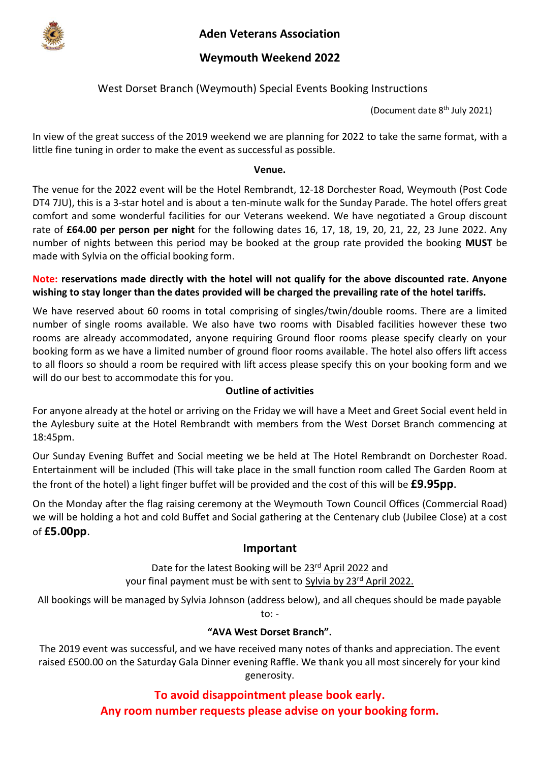

**Aden Veterans Association**

## **Weymouth Weekend 2022**

## West Dorset Branch (Weymouth) Special Events Booking Instructions

(Document date 8 th July 2021)

In view of the great success of the 2019 weekend we are planning for 2022 to take the same format, with a little fine tuning in order to make the event as successful as possible.

#### **Venue.**

The venue for the 2022 event will be the Hotel Rembrandt, 12-18 Dorchester Road, Weymouth (Post Code DT4 7JU), this is a 3-star hotel and is about a ten-minute walk for the Sunday Parade. The hotel offers great comfort and some wonderful facilities for our Veterans weekend. We have negotiated a Group discount rate of **£64.00 per person per night** for the following dates 16, 17, 18, 19, 20, 21, 22, 23 June 2022. Any number of nights between this period may be booked at the group rate provided the booking **MUST** be made with Sylvia on the official booking form.

#### **Note: reservations made directly with the hotel will not qualify for the above discounted rate. Anyone wishing to stay longer than the dates provided will be charged the prevailing rate of the hotel tariffs.**

We have reserved about 60 rooms in total comprising of singles/twin/double rooms. There are a limited number of single rooms available. We also have two rooms with Disabled facilities however these two rooms are already accommodated, anyone requiring Ground floor rooms please specify clearly on your booking form as we have a limited number of ground floor rooms available. The hotel also offers lift access to all floors so should a room be required with lift access please specify this on your booking form and we will do our best to accommodate this for you.

#### **Outline of activities**

For anyone already at the hotel or arriving on the Friday we will have a Meet and Greet Social event held in the Aylesbury suite at the Hotel Rembrandt with members from the West Dorset Branch commencing at 18:45pm.

Our Sunday Evening Buffet and Social meeting we be held at The Hotel Rembrandt on Dorchester Road. Entertainment will be included (This will take place in the small function room called The Garden Room at the front of the hotel) a light finger buffet will be provided and the cost of this will be **£9.95pp**.

On the Monday after the flag raising ceremony at the Weymouth Town Council Offices (Commercial Road) we will be holding a hot and cold Buffet and Social gathering at the Centenary club (Jubilee Close) at a cost of **£5.00pp**.

#### **Important**

Date for the latest Booking will be 23<sup>rd</sup> April 2022 and your final payment must be with sent to Sylvia by 23<sup>rd</sup> April 2022.

All bookings will be managed by Sylvia Johnson (address below), and all cheques should be made payable to: -

#### **"AVA West Dorset Branch".**

The 2019 event was successful, and we have received many notes of thanks and appreciation. The event raised £500.00 on the Saturday Gala Dinner evening Raffle. We thank you all most sincerely for your kind generosity.

> **To avoid disappointment please book early. Any room number requests please advise on your booking form.**